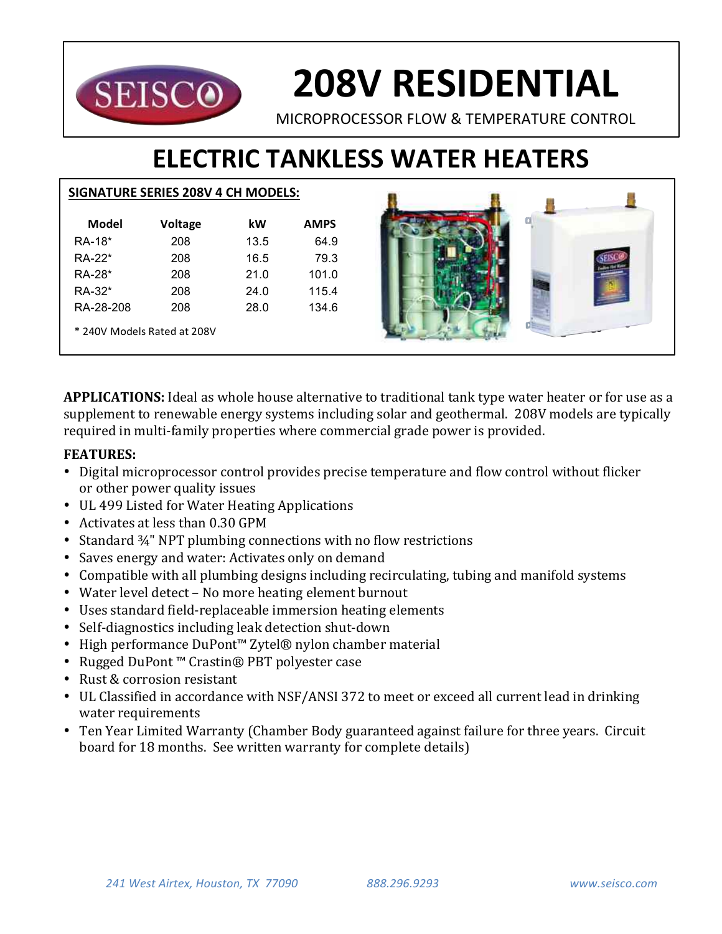

# **208V RESIDENTIAL**

MICROPROCESSOR FLOW & TEMPERATURE CONTROL

# **ELECTRIC TANKLESS WATER HEATERS**

### **SIGNATURE SERIES 208V 4 CH MODELS:**

| Model                       | <b>Voltage</b> | kW   | <b>AMPS</b> |  |  |  |  |
|-----------------------------|----------------|------|-------------|--|--|--|--|
| RA-18*                      | 208            | 13.5 | 64.9        |  |  |  |  |
| $RA-22*$                    | 208            | 16.5 | 79.3        |  |  |  |  |
| RA-28*                      | 208            | 21.0 | 101.0       |  |  |  |  |
| RA-32*                      | 208            | 24.0 | 115.4       |  |  |  |  |
| RA-28-208                   | 208            | 28.0 | 134.6       |  |  |  |  |
| * 240V Models Rated at 208V |                |      |             |  |  |  |  |



**APPLICATIONS:** Ideal as whole house alternative to traditional tank type water heater or for use as a supplement to renewable energy systems including solar and geothermal. 208V models are typically required in multi-family properties where commercial grade power is provided.

## **FEATURES:**

- Digital microprocessor control provides precise temperature and flow control without flicker or other power quality issues
- UL 499 Listed for Water Heating Applications
- Activates at less than 0.30 GPM
- Standard  $\frac{3}{4}$ " NPT plumbing connections with no flow restrictions
- Saves energy and water: Activates only on demand
- Compatible with all plumbing designs including recirculating, tubing and manifold systems
- Water level detect No more heating element burnout
- Uses standard field-replaceable immersion heating elements
- Self-diagnostics including leak detection shut-down
- High performance DuPont™ Zytel® nylon chamber material
- Rugged DuPont™ Crastin® PBT polyester case
- Rust & corrosion resistant
- UL Classified in accordance with NSF/ANSI 372 to meet or exceed all current lead in drinking water requirements
- Ten Year Limited Warranty (Chamber Body guaranteed against failure for three years. Circuit board for 18 months. See written warranty for complete details)